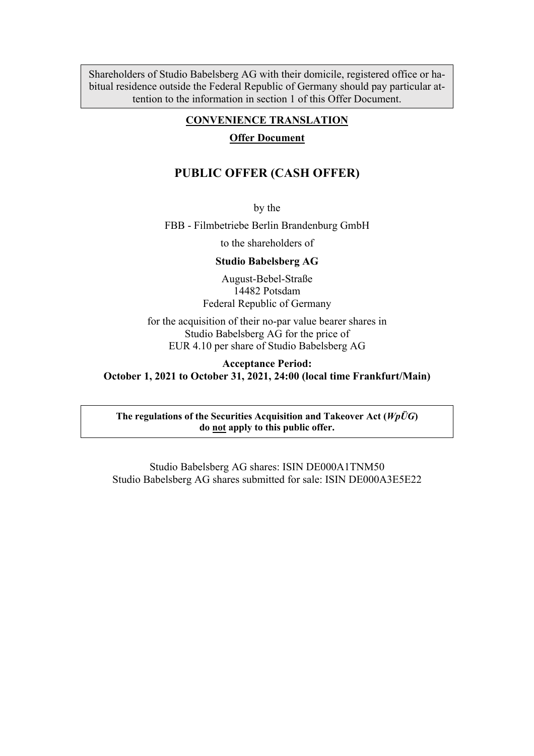Shareholders of Studio Babelsberg AG with their domicile, registered office or habitual residence outside the Federal Republic of Germany should pay particular attention to the information in section 1 of this Offer Document.

### **CONVENIENCE TRANSLATION**

#### **Offer Document**

## **PUBLIC OFFER (CASH OFFER)**

by the

FBB - Filmbetriebe Berlin Brandenburg GmbH

to the shareholders of

**Studio Babelsberg AG**

August-Bebel-Straße 14482 Potsdam Federal Republic of Germany

for the acquisition of their no-par value bearer shares in Studio Babelsberg AG for the price of EUR 4.10 per share of Studio Babelsberg AG

**Acceptance Period: October 1, 2021 to October 31, 2021, 24:00 (local time Frankfurt/Main)**

**The regulations of the Securities Acquisition and Takeover Act (***WpÜG***) do not apply to this public offer.**

Studio Babelsberg AG shares: ISIN DE000A1TNM50 Studio Babelsberg AG shares submitted for sale: ISIN DE000A3E5E22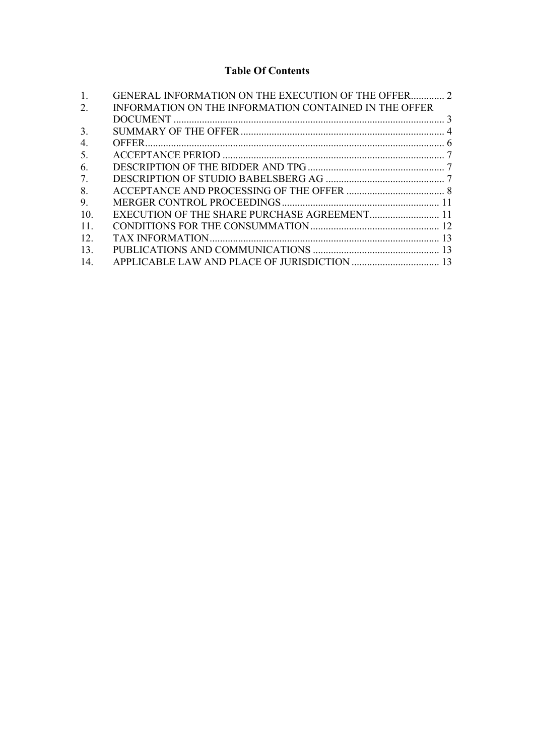# **Table Of Contents**

| 1.  | <b>GENERAL INFORMATION ON THE EXECUTION OF THE OFFER 2</b> |  |
|-----|------------------------------------------------------------|--|
| 2.  | INFORMATION ON THE INFORMATION CONTAINED IN THE OFFER      |  |
|     |                                                            |  |
| 3.  |                                                            |  |
| 4.  |                                                            |  |
| 5.  |                                                            |  |
| 6.  |                                                            |  |
| 7.  |                                                            |  |
| 8.  |                                                            |  |
| 9.  |                                                            |  |
| 10. | EXECUTION OF THE SHARE PURCHASE AGREEMENT 11               |  |
| 11. |                                                            |  |
| 12. |                                                            |  |
| 13. |                                                            |  |
| 14. |                                                            |  |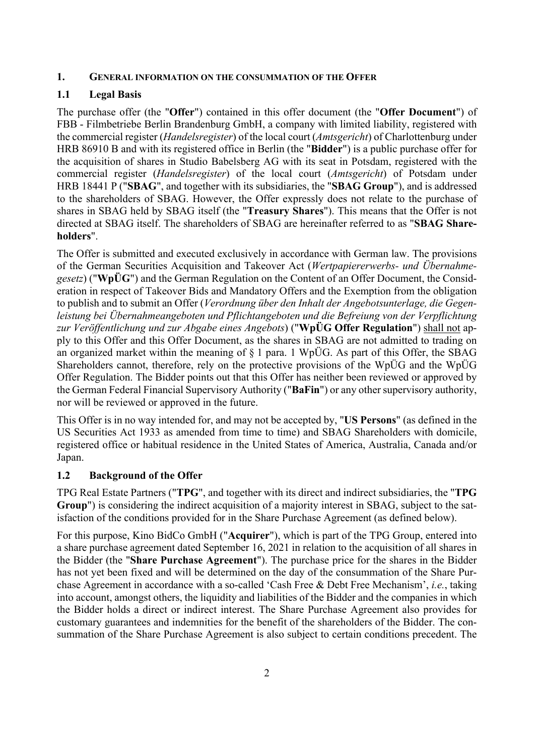#### **1. GENERAL INFORMATION ON THE CONSUMMATION OF THE OFFER**

#### **1.1 Legal Basis**

The purchase offer (the "**Offer**") contained in this offer document (the "**Offer Document**") of FBB - Filmbetriebe Berlin Brandenburg GmbH, a company with limited liability, registered with the commercial register (*Handelsregister*) of the local court (*Amtsgericht*) of Charlottenburg under HRB 86910 B and with its registered office in Berlin (the "**Bidder**") is a public purchase offer for the acquisition of shares in Studio Babelsberg AG with its seat in Potsdam, registered with the commercial register (*Handelsregister*) of the local court (*Amtsgericht*) of Potsdam under HRB 18441 P ("**SBAG**", and together with its subsidiaries, the "**SBAG Group**"), and is addressed to the shareholders of SBAG. However, the Offer expressly does not relate to the purchase of shares in SBAG held by SBAG itself (the "**Treasury Shares**"). This means that the Offer is not directed at SBAG itself. The shareholders of SBAG are hereinafter referred to as "**SBAG Shareholders**".

The Offer is submitted and executed exclusively in accordance with German law. The provisions of the German Securities Acquisition and Takeover Act (*Wertpapiererwerbs- und Übernahmegesetz*) ("**WpÜG**") and the German Regulation on the Content of an Offer Document, the Consideration in respect of Takeover Bids and Mandatory Offers and the Exemption from the obligation to publish and to submit an Offer (*Verordnung über den Inhalt der Angebotsunterlage, die Gegenleistung bei Übernahmeangeboten und Pflichtangeboten und die Befreiung von der Verpflichtung zur Veröffentlichung und zur Abgabe eines Angebots*) ("**WpÜG Offer Regulation**") shall not apply to this Offer and this Offer Document, as the shares in SBAG are not admitted to trading on an organized market within the meaning of § 1 para. 1 WpÜG. As part of this Offer, the SBAG Shareholders cannot, therefore, rely on the protective provisions of the WpÜG and the WpÜG Offer Regulation. The Bidder points out that this Offer has neither been reviewed or approved by the German Federal Financial Supervisory Authority ("**BaFin**") or any other supervisory authority, nor will be reviewed or approved in the future.

This Offer is in no way intended for, and may not be accepted by, "**US Persons**" (as defined in the US Securities Act 1933 as amended from time to time) and SBAG Shareholders with domicile, registered office or habitual residence in the United States of America, Australia, Canada and/or Japan.

#### **1.2 Background of the Offer**

TPG Real Estate Partners ("**TPG**", and together with its direct and indirect subsidiaries, the "**TPG Group**") is considering the indirect acquisition of a majority interest in SBAG, subject to the satisfaction of the conditions provided for in the Share Purchase Agreement (as defined below).

For this purpose, Kino BidCo GmbH ("**Acquirer**"), which is part of the TPG Group, entered into a share purchase agreement dated September 16, 2021 in relation to the acquisition of all shares in the Bidder (the "**Share Purchase Agreement**"). The purchase price for the shares in the Bidder has not yet been fixed and will be determined on the day of the consummation of the Share Purchase Agreement in accordance with a so-called 'Cash Free & Debt Free Mechanism', *i.e.*, taking into account, amongst others, the liquidity and liabilities of the Bidder and the companies in which the Bidder holds a direct or indirect interest. The Share Purchase Agreement also provides for customary guarantees and indemnities for the benefit of the shareholders of the Bidder. The consummation of the Share Purchase Agreement is also subject to certain conditions precedent. The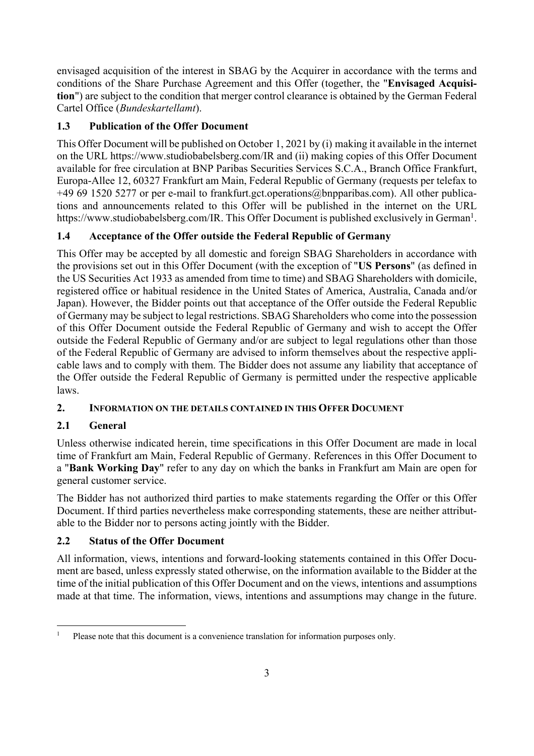envisaged acquisition of the interest in SBAG by the Acquirer in accordance with the terms and conditions of the Share Purchase Agreement and this Offer (together, the "**Envisaged Acquisition**") are subject to the condition that merger control clearance is obtained by the German Federal Cartel Office (*Bundeskartellamt*).

# **1.3 Publication of the Offer Document**

This Offer Document will be published on October 1, 2021 by (i) making it available in the internet on the URL https://www.studiobabelsberg.com/IR and (ii) making copies of this Offer Document available for free circulation at BNP Paribas Securities Services S.C.A., Branch Office Frankfurt, Europa-Allee 12, 60327 Frankfurt am Main, Federal Republic of Germany (requests per telefax to +49 69 1520 5277 or per e-mail to frankfurt.gct.operations@bnpparibas.com). All other publications and announcements related to this Offer will be published in the internet on the URL https://www.studiobabelsberg.com/IR. This Offer Document is published exclusively in German<sup>1</sup>.

# **1.4 Acceptance of the Offer outside the Federal Republic of Germany**

This Offer may be accepted by all domestic and foreign SBAG Shareholders in accordance with the provisions set out in this Offer Document (with the exception of "**US Persons**" (as defined in the US Securities Act 1933 as amended from time to time) and SBAG Shareholders with domicile, registered office or habitual residence in the United States of America, Australia, Canada and/or Japan). However, the Bidder points out that acceptance of the Offer outside the Federal Republic of Germany may be subject to legal restrictions. SBAG Shareholders who come into the possession of this Offer Document outside the Federal Republic of Germany and wish to accept the Offer outside the Federal Republic of Germany and/or are subject to legal regulations other than those of the Federal Republic of Germany are advised to inform themselves about the respective applicable laws and to comply with them. The Bidder does not assume any liability that acceptance of the Offer outside the Federal Republic of Germany is permitted under the respective applicable laws.

# **2. INFORMATION ON THE DETAILS CONTAINED IN THIS OFFER DOCUMENT**

# **2.1 General**

Unless otherwise indicated herein, time specifications in this Offer Document are made in local time of Frankfurt am Main, Federal Republic of Germany. References in this Offer Document to a "**Bank Working Day**" refer to any day on which the banks in Frankfurt am Main are open for general customer service.

The Bidder has not authorized third parties to make statements regarding the Offer or this Offer Document. If third parties nevertheless make corresponding statements, these are neither attributable to the Bidder nor to persons acting jointly with the Bidder.

# **2.2 Status of the Offer Document**

All information, views, intentions and forward-looking statements contained in this Offer Document are based, unless expressly stated otherwise, on the information available to the Bidder at the time of the initial publication of this Offer Document and on the views, intentions and assumptions made at that time. The information, views, intentions and assumptions may change in the future.

<sup>&</sup>lt;sup>1</sup> Please note that this document is a convenience translation for information purposes only.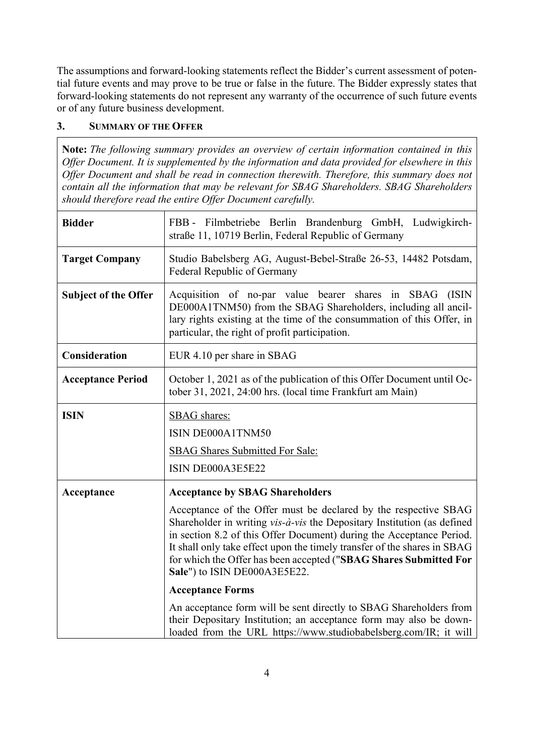The assumptions and forward-looking statements reflect the Bidder's current assessment of potential future events and may prove to be true or false in the future. The Bidder expressly states that forward-looking statements do not represent any warranty of the occurrence of such future events or of any future business development.

### **3. SUMMARY OF THE OFFER**

**Note:** *The following summary provides an overview of certain information contained in this Offer Document. It is supplemented by the information and data provided for elsewhere in this Offer Document and shall be read in connection therewith. Therefore, this summary does not contain all the information that may be relevant for SBAG Shareholders. SBAG Shareholders should therefore read the entire Offer Document carefully.*

| <b>Bidder</b>               | FBB - Filmbetriebe Berlin Brandenburg GmbH, Ludwigkirch-<br>straße 11, 10719 Berlin, Federal Republic of Germany                                                                                                                                                                                                                                                                                                                                                                                                                                                                                                                                                                         |
|-----------------------------|------------------------------------------------------------------------------------------------------------------------------------------------------------------------------------------------------------------------------------------------------------------------------------------------------------------------------------------------------------------------------------------------------------------------------------------------------------------------------------------------------------------------------------------------------------------------------------------------------------------------------------------------------------------------------------------|
| <b>Target Company</b>       | Studio Babelsberg AG, August-Bebel-Straße 26-53, 14482 Potsdam,<br>Federal Republic of Germany                                                                                                                                                                                                                                                                                                                                                                                                                                                                                                                                                                                           |
| <b>Subject of the Offer</b> | Acquisition of no-par value bearer shares in SBAG (ISIN<br>DE000A1TNM50) from the SBAG Shareholders, including all ancil-<br>lary rights existing at the time of the consummation of this Offer, in<br>particular, the right of profit participation.                                                                                                                                                                                                                                                                                                                                                                                                                                    |
| Consideration               | EUR 4.10 per share in SBAG                                                                                                                                                                                                                                                                                                                                                                                                                                                                                                                                                                                                                                                               |
| <b>Acceptance Period</b>    | October 1, 2021 as of the publication of this Offer Document until Oc-<br>tober 31, 2021, 24:00 hrs. (local time Frankfurt am Main)                                                                                                                                                                                                                                                                                                                                                                                                                                                                                                                                                      |
| <b>ISIN</b>                 | <b>SBAG</b> shares:<br>ISIN DE000A1TNM50<br><b>SBAG Shares Submitted For Sale:</b><br>ISIN DE000A3E5E22                                                                                                                                                                                                                                                                                                                                                                                                                                                                                                                                                                                  |
| Acceptance                  | <b>Acceptance by SBAG Shareholders</b><br>Acceptance of the Offer must be declared by the respective SBAG<br>Shareholder in writing vis-à-vis the Depositary Institution (as defined<br>in section 8.2 of this Offer Document) during the Acceptance Period.<br>It shall only take effect upon the timely transfer of the shares in SBAG<br>for which the Offer has been accepted ("SBAG Shares Submitted For<br>Sale") to ISIN DE000A3E5E22.<br><b>Acceptance Forms</b><br>An acceptance form will be sent directly to SBAG Shareholders from<br>their Depositary Institution; an acceptance form may also be down-<br>loaded from the URL https://www.studiobabelsberg.com/IR; it will |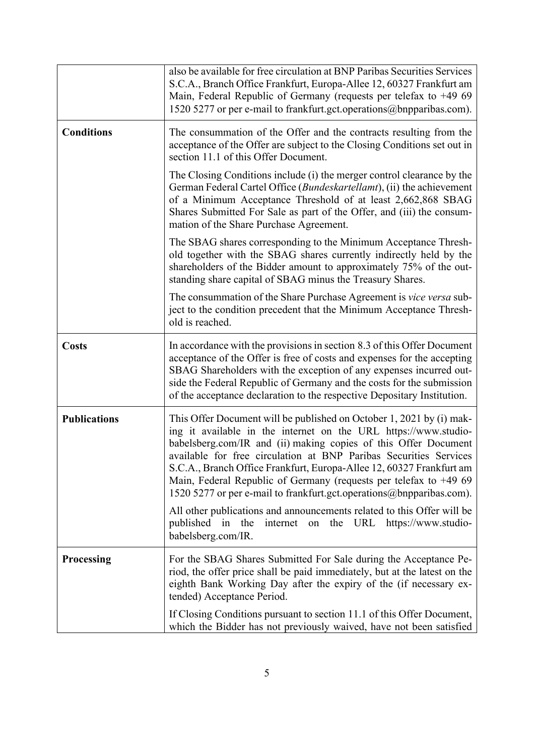|                     | also be available for free circulation at BNP Paribas Securities Services<br>S.C.A., Branch Office Frankfurt, Europa-Allee 12, 60327 Frankfurt am<br>Main, Federal Republic of Germany (requests per telefax to $+4969$<br>1520 5277 or per e-mail to frankfurt.gct.operations@bnpparibas.com).                                                                                                                                                                                                                                                                                                                                                                               |
|---------------------|-------------------------------------------------------------------------------------------------------------------------------------------------------------------------------------------------------------------------------------------------------------------------------------------------------------------------------------------------------------------------------------------------------------------------------------------------------------------------------------------------------------------------------------------------------------------------------------------------------------------------------------------------------------------------------|
| <b>Conditions</b>   | The consummation of the Offer and the contracts resulting from the<br>acceptance of the Offer are subject to the Closing Conditions set out in<br>section 11.1 of this Offer Document.                                                                                                                                                                                                                                                                                                                                                                                                                                                                                        |
|                     | The Closing Conditions include (i) the merger control clearance by the<br>German Federal Cartel Office (Bundeskartellamt), (ii) the achievement<br>of a Minimum Acceptance Threshold of at least 2,662,868 SBAG<br>Shares Submitted For Sale as part of the Offer, and (iii) the consum-<br>mation of the Share Purchase Agreement.                                                                                                                                                                                                                                                                                                                                           |
|                     | The SBAG shares corresponding to the Minimum Acceptance Thresh-<br>old together with the SBAG shares currently indirectly held by the<br>shareholders of the Bidder amount to approximately 75% of the out-<br>standing share capital of SBAG minus the Treasury Shares.                                                                                                                                                                                                                                                                                                                                                                                                      |
|                     | The consummation of the Share Purchase Agreement is vice versa sub-<br>ject to the condition precedent that the Minimum Acceptance Thresh-<br>old is reached.                                                                                                                                                                                                                                                                                                                                                                                                                                                                                                                 |
| <b>Costs</b>        | In accordance with the provisions in section 8.3 of this Offer Document<br>acceptance of the Offer is free of costs and expenses for the accepting<br>SBAG Shareholders with the exception of any expenses incurred out-<br>side the Federal Republic of Germany and the costs for the submission<br>of the acceptance declaration to the respective Depositary Institution.                                                                                                                                                                                                                                                                                                  |
| <b>Publications</b> | This Offer Document will be published on October 1, 2021 by (i) mak-<br>ing it available in the internet on the URL https://www.studio-<br>babelsberg.com/IR and (ii) making copies of this Offer Document<br>available for free circulation at BNP Paribas Securities Services<br>S.C.A., Branch Office Frankfurt, Europa-Allee 12, 60327 Frankfurt am<br>Main, Federal Republic of Germany (requests per telefax to $+4969$<br>1520 5277 or per e-mail to frankfurt.gct.operations@bnpparibas.com).<br>All other publications and announcements related to this Offer will be<br>published in<br>the<br>on the URL<br>https://www.studio-<br>internet<br>babelsberg.com/IR. |
| Processing          | For the SBAG Shares Submitted For Sale during the Acceptance Pe-<br>riod, the offer price shall be paid immediately, but at the latest on the<br>eighth Bank Working Day after the expiry of the (if necessary ex-<br>tended) Acceptance Period.                                                                                                                                                                                                                                                                                                                                                                                                                              |
|                     | If Closing Conditions pursuant to section 11.1 of this Offer Document,<br>which the Bidder has not previously waived, have not been satisfied                                                                                                                                                                                                                                                                                                                                                                                                                                                                                                                                 |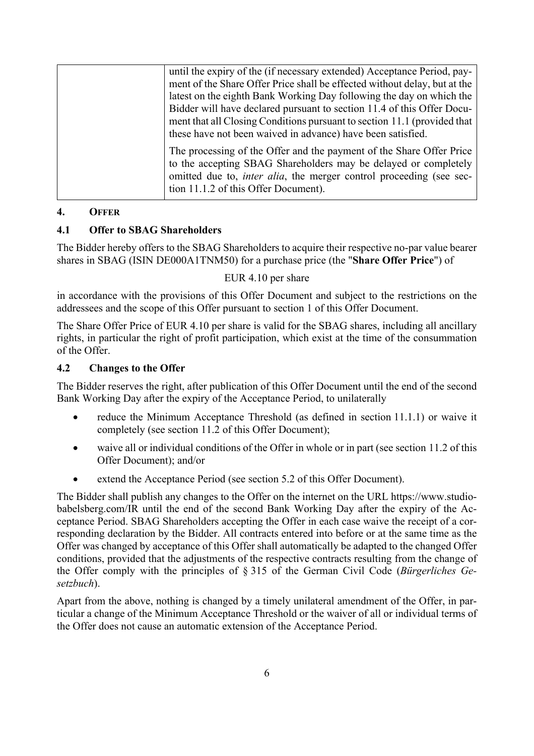| until the expiry of the (if necessary extended) Acceptance Period, pay-                                                                                                                                                                                        |
|----------------------------------------------------------------------------------------------------------------------------------------------------------------------------------------------------------------------------------------------------------------|
| ment of the Share Offer Price shall be effected without delay, but at the                                                                                                                                                                                      |
| latest on the eighth Bank Working Day following the day on which the                                                                                                                                                                                           |
| Bidder will have declared pursuant to section 11.4 of this Offer Docu-<br>ment that all Closing Conditions pursuant to section 11.1 (provided that<br>these have not been waived in advance) have been satisfied.                                              |
| The processing of the Offer and the payment of the Share Offer Price<br>to the accepting SBAG Shareholders may be delayed or completely<br>omitted due to, <i>inter alia</i> , the merger control proceeding (see sec-<br>tion 11.1.2 of this Offer Document). |

### **4. OFFER**

### **4.1 Offer to SBAG Shareholders**

The Bidder hereby offers to the SBAG Shareholders to acquire their respective no-par value bearer shares in SBAG (ISIN DE000A1TNM50) for a purchase price (the "**Share Offer Price**") of

### EUR 4.10 per share

in accordance with the provisions of this Offer Document and subject to the restrictions on the addressees and the scope of this Offer pursuant to section 1 of this Offer Document.

The Share Offer Price of EUR 4.10 per share is valid for the SBAG shares, including all ancillary rights, in particular the right of profit participation, which exist at the time of the consummation of the Offer.

### **4.2 Changes to the Offer**

The Bidder reserves the right, after publication of this Offer Document until the end of the second Bank Working Day after the expiry of the Acceptance Period, to unilaterally

- reduce the Minimum Acceptance Threshold (as defined in section 11.1.1) or waive it completely (see section 11.2 of this Offer Document);
- waive all or individual conditions of the Offer in whole or in part (see section 11.2 of this Offer Document); and/or
- extend the Acceptance Period (see section 5.2 of this Offer Document).

The Bidder shall publish any changes to the Offer on the internet on the URL https://www.studiobabelsberg.com/IR until the end of the second Bank Working Day after the expiry of the Acceptance Period. SBAG Shareholders accepting the Offer in each case waive the receipt of a corresponding declaration by the Bidder. All contracts entered into before or at the same time as the Offer was changed by acceptance of this Offer shall automatically be adapted to the changed Offer conditions, provided that the adjustments of the respective contracts resulting from the change of the Offer comply with the principles of § 315 of the German Civil Code (*Bürgerliches Gesetzbuch*).

Apart from the above, nothing is changed by a timely unilateral amendment of the Offer, in particular a change of the Minimum Acceptance Threshold or the waiver of all or individual terms of the Offer does not cause an automatic extension of the Acceptance Period.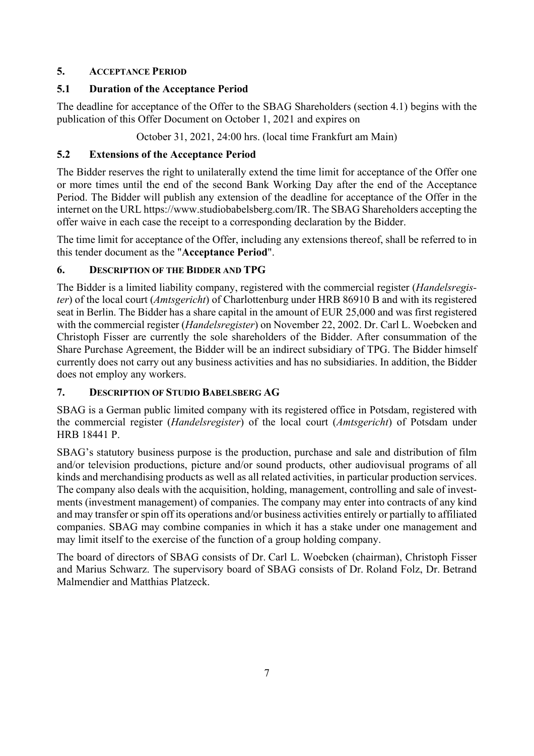## **5. ACCEPTANCE PERIOD**

## **5.1 Duration of the Acceptance Period**

The deadline for acceptance of the Offer to the SBAG Shareholders (section 4.1) begins with the publication of this Offer Document on October 1, 2021 and expires on

October 31, 2021, 24:00 hrs. (local time Frankfurt am Main)

## **5.2 Extensions of the Acceptance Period**

The Bidder reserves the right to unilaterally extend the time limit for acceptance of the Offer one or more times until the end of the second Bank Working Day after the end of the Acceptance Period. The Bidder will publish any extension of the deadline for acceptance of the Offer in the internet on the URL https://www.studiobabelsberg.com/IR. The SBAG Shareholders accepting the offer waive in each case the receipt to a corresponding declaration by the Bidder.

The time limit for acceptance of the Offer, including any extensions thereof, shall be referred to in this tender document as the "**Acceptance Period**".

# **6. DESCRIPTION OF THE BIDDER AND TPG**

The Bidder is a limited liability company, registered with the commercial register (*Handelsregister*) of the local court (*Amtsgericht*) of Charlottenburg under HRB 86910 B and with its registered seat in Berlin. The Bidder has a share capital in the amount of EUR 25,000 and was first registered with the commercial register (*Handelsregister*) on November 22, 2002. Dr. Carl L. Woebcken and Christoph Fisser are currently the sole shareholders of the Bidder. After consummation of the Share Purchase Agreement, the Bidder will be an indirect subsidiary of TPG. The Bidder himself currently does not carry out any business activities and has no subsidiaries. In addition, the Bidder does not employ any workers.

### **7. DESCRIPTION OF STUDIO BABELSBERG AG**

SBAG is a German public limited company with its registered office in Potsdam, registered with the commercial register (*Handelsregister*) of the local court (*Amtsgericht*) of Potsdam under HRB 18441 P.

SBAG's statutory business purpose is the production, purchase and sale and distribution of film and/or television productions, picture and/or sound products, other audiovisual programs of all kinds and merchandising products as well as all related activities, in particular production services. The company also deals with the acquisition, holding, management, controlling and sale of investments (investment management) of companies. The company may enter into contracts of any kind and may transfer or spin off its operations and/or business activities entirely or partially to affiliated companies. SBAG may combine companies in which it has a stake under one management and may limit itself to the exercise of the function of a group holding company.

The board of directors of SBAG consists of Dr. Carl L. Woebcken (chairman), Christoph Fisser and Marius Schwarz. The supervisory board of SBAG consists of Dr. Roland Folz, Dr. Betrand Malmendier and Matthias Platzeck.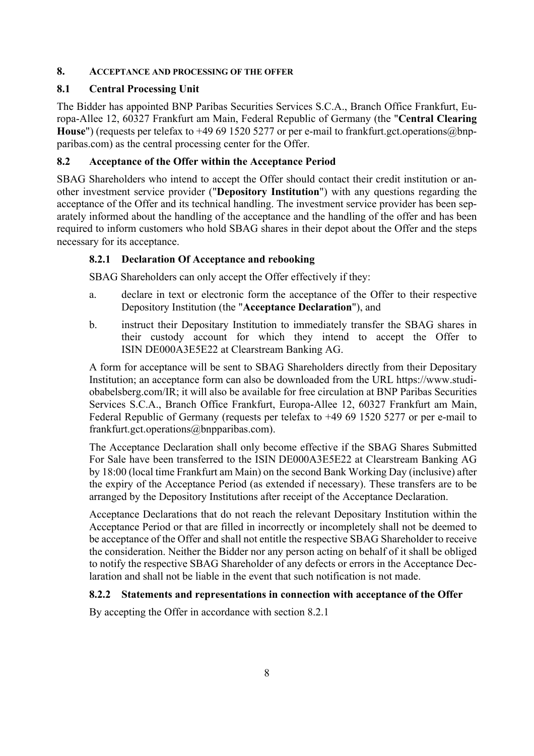### **8. ACCEPTANCE AND PROCESSING OF THE OFFER**

### **8.1 Central Processing Unit**

The Bidder has appointed BNP Paribas Securities Services S.C.A., Branch Office Frankfurt, Europa-Allee 12, 60327 Frankfurt am Main, Federal Republic of Germany (the "**Central Clearing House**") (requests per telefax to +49 69 1520 5277 or per e-mail to frankfurt.gct.operations@bnpparibas.com) as the central processing center for the Offer.

### **8.2 Acceptance of the Offer within the Acceptance Period**

SBAG Shareholders who intend to accept the Offer should contact their credit institution or another investment service provider ("**Depository Institution**") with any questions regarding the acceptance of the Offer and its technical handling. The investment service provider has been separately informed about the handling of the acceptance and the handling of the offer and has been required to inform customers who hold SBAG shares in their depot about the Offer and the steps necessary for its acceptance.

### **8.2.1 Declaration Of Acceptance and rebooking**

SBAG Shareholders can only accept the Offer effectively if they:

- a. declare in text or electronic form the acceptance of the Offer to their respective Depository Institution (the "**Acceptance Declaration**"), and
- b. instruct their Depositary Institution to immediately transfer the SBAG shares in their custody account for which they intend to accept the Offer to ISIN DE000A3E5E22 at Clearstream Banking AG.

A form for acceptance will be sent to SBAG Shareholders directly from their Depositary Institution; an acceptance form can also be downloaded from the URL https://www.studiobabelsberg.com/IR; it will also be available for free circulation at BNP Paribas Securities Services S.C.A., Branch Office Frankfurt, Europa-Allee 12, 60327 Frankfurt am Main, Federal Republic of Germany (requests per telefax to +49 69 1520 5277 or per e-mail to frankfurt.gct.operations@bnpparibas.com).

The Acceptance Declaration shall only become effective if the SBAG Shares Submitted For Sale have been transferred to the ISIN DE000A3E5E22 at Clearstream Banking AG by 18:00 (local time Frankfurt am Main) on the second Bank Working Day (inclusive) after the expiry of the Acceptance Period (as extended if necessary). These transfers are to be arranged by the Depository Institutions after receipt of the Acceptance Declaration.

Acceptance Declarations that do not reach the relevant Depositary Institution within the Acceptance Period or that are filled in incorrectly or incompletely shall not be deemed to be acceptance of the Offer and shall not entitle the respective SBAG Shareholder to receive the consideration. Neither the Bidder nor any person acting on behalf of it shall be obliged to notify the respective SBAG Shareholder of any defects or errors in the Acceptance Declaration and shall not be liable in the event that such notification is not made.

### **8.2.2 Statements and representations in connection with acceptance of the Offer**

By accepting the Offer in accordance with section 8.2.1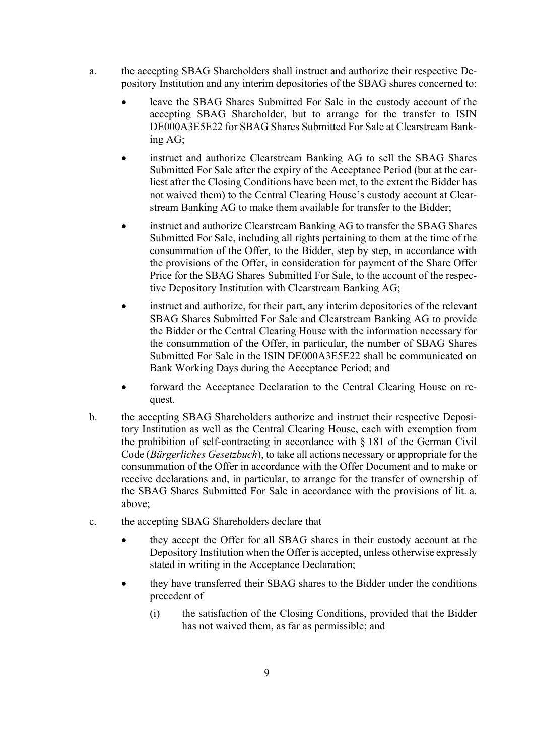- a. the accepting SBAG Shareholders shall instruct and authorize their respective Depository Institution and any interim depositories of the SBAG shares concerned to:
	- leave the SBAG Shares Submitted For Sale in the custody account of the accepting SBAG Shareholder, but to arrange for the transfer to ISIN DE000A3E5E22 for SBAG Shares Submitted For Sale at Clearstream Banking AG;
	- instruct and authorize Clearstream Banking AG to sell the SBAG Shares Submitted For Sale after the expiry of the Acceptance Period (but at the earliest after the Closing Conditions have been met, to the extent the Bidder has not waived them) to the Central Clearing House's custody account at Clearstream Banking AG to make them available for transfer to the Bidder;
	- instruct and authorize Clearstream Banking AG to transfer the SBAG Shares Submitted For Sale, including all rights pertaining to them at the time of the consummation of the Offer, to the Bidder, step by step, in accordance with the provisions of the Offer, in consideration for payment of the Share Offer Price for the SBAG Shares Submitted For Sale, to the account of the respective Depository Institution with Clearstream Banking AG;
	- instruct and authorize, for their part, any interim depositories of the relevant SBAG Shares Submitted For Sale and Clearstream Banking AG to provide the Bidder or the Central Clearing House with the information necessary for the consummation of the Offer, in particular, the number of SBAG Shares Submitted For Sale in the ISIN DE000A3E5E22 shall be communicated on Bank Working Days during the Acceptance Period; and
	- forward the Acceptance Declaration to the Central Clearing House on request.
- b. the accepting SBAG Shareholders authorize and instruct their respective Depository Institution as well as the Central Clearing House, each with exemption from the prohibition of self-contracting in accordance with § 181 of the German Civil Code (*Bürgerliches Gesetzbuch*), to take all actions necessary or appropriate for the consummation of the Offer in accordance with the Offer Document and to make or receive declarations and, in particular, to arrange for the transfer of ownership of the SBAG Shares Submitted For Sale in accordance with the provisions of lit. a. above;
- c. the accepting SBAG Shareholders declare that
	- they accept the Offer for all SBAG shares in their custody account at the Depository Institution when the Offer is accepted, unless otherwise expressly stated in writing in the Acceptance Declaration;
	- they have transferred their SBAG shares to the Bidder under the conditions precedent of
		- (i) the satisfaction of the Closing Conditions, provided that the Bidder has not waived them, as far as permissible; and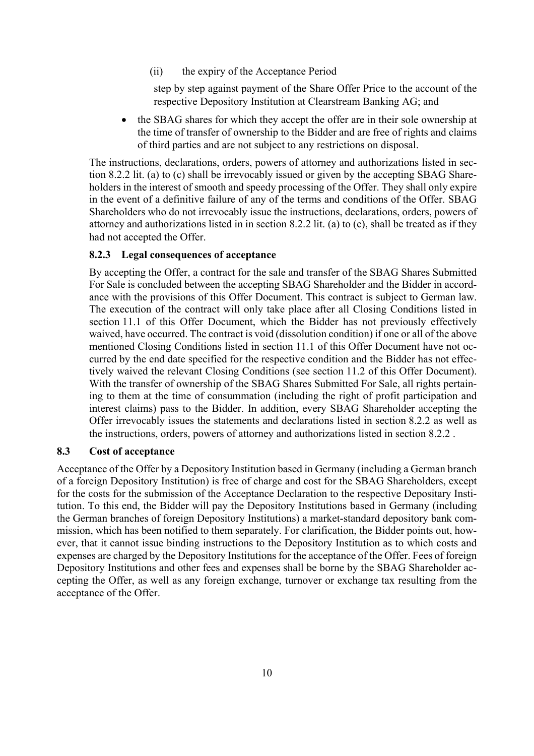(ii) the expiry of the Acceptance Period

step by step against payment of the Share Offer Price to the account of the respective Depository Institution at Clearstream Banking AG; and

• the SBAG shares for which they accept the offer are in their sole ownership at the time of transfer of ownership to the Bidder and are free of rights and claims of third parties and are not subject to any restrictions on disposal.

The instructions, declarations, orders, powers of attorney and authorizations listed in section 8.2.2 lit. (a) to (c) shall be irrevocably issued or given by the accepting SBAG Shareholders in the interest of smooth and speedy processing of the Offer. They shall only expire in the event of a definitive failure of any of the terms and conditions of the Offer. SBAG Shareholders who do not irrevocably issue the instructions, declarations, orders, powers of attorney and authorizations listed in in section 8.2.2 lit. (a) to (c), shall be treated as if they had not accepted the Offer.

#### **8.2.3 Legal consequences of acceptance**

By accepting the Offer, a contract for the sale and transfer of the SBAG Shares Submitted For Sale is concluded between the accepting SBAG Shareholder and the Bidder in accordance with the provisions of this Offer Document. This contract is subject to German law. The execution of the contract will only take place after all Closing Conditions listed in section 11.1 of this Offer Document, which the Bidder has not previously effectively waived, have occurred. The contract is void (dissolution condition) if one or all of the above mentioned Closing Conditions listed in section 11.1 of this Offer Document have not occurred by the end date specified for the respective condition and the Bidder has not effectively waived the relevant Closing Conditions (see section 11.2 of this Offer Document). With the transfer of ownership of the SBAG Shares Submitted For Sale, all rights pertaining to them at the time of consummation (including the right of profit participation and interest claims) pass to the Bidder. In addition, every SBAG Shareholder accepting the Offer irrevocably issues the statements and declarations listed in section 8.2.2 as well as the instructions, orders, powers of attorney and authorizations listed in section 8.2.2 .

#### **8.3 Cost of acceptance**

Acceptance of the Offer by a Depository Institution based in Germany (including a German branch of a foreign Depository Institution) is free of charge and cost for the SBAG Shareholders, except for the costs for the submission of the Acceptance Declaration to the respective Depositary Institution. To this end, the Bidder will pay the Depository Institutions based in Germany (including the German branches of foreign Depository Institutions) a market-standard depository bank commission, which has been notified to them separately. For clarification, the Bidder points out, however, that it cannot issue binding instructions to the Depository Institution as to which costs and expenses are charged by the Depository Institutions for the acceptance of the Offer. Fees of foreign Depository Institutions and other fees and expenses shall be borne by the SBAG Shareholder accepting the Offer, as well as any foreign exchange, turnover or exchange tax resulting from the acceptance of the Offer.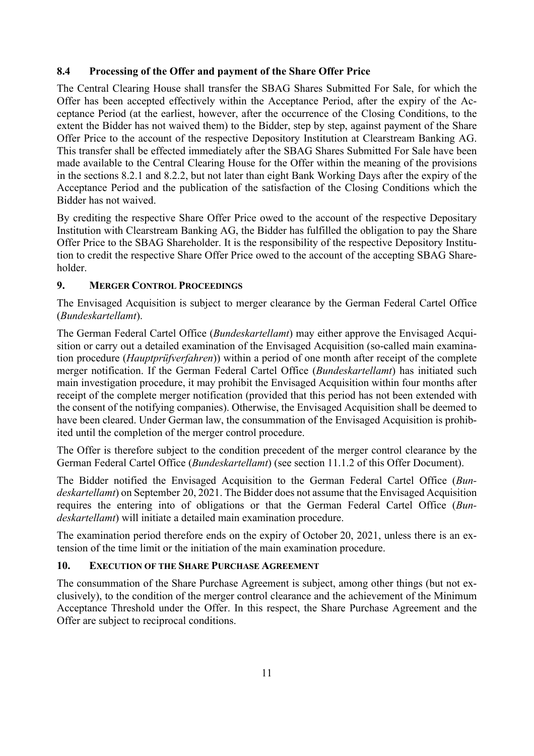### **8.4 Processing of the Offer and payment of the Share Offer Price**

The Central Clearing House shall transfer the SBAG Shares Submitted For Sale, for which the Offer has been accepted effectively within the Acceptance Period, after the expiry of the Acceptance Period (at the earliest, however, after the occurrence of the Closing Conditions, to the extent the Bidder has not waived them) to the Bidder, step by step, against payment of the Share Offer Price to the account of the respective Depository Institution at Clearstream Banking AG. This transfer shall be effected immediately after the SBAG Shares Submitted For Sale have been made available to the Central Clearing House for the Offer within the meaning of the provisions in the sections 8.2.1 and 8.2.2, but not later than eight Bank Working Days after the expiry of the Acceptance Period and the publication of the satisfaction of the Closing Conditions which the Bidder has not waived.

By crediting the respective Share Offer Price owed to the account of the respective Depositary Institution with Clearstream Banking AG, the Bidder has fulfilled the obligation to pay the Share Offer Price to the SBAG Shareholder. It is the responsibility of the respective Depository Institution to credit the respective Share Offer Price owed to the account of the accepting SBAG Shareholder.

### **9. MERGER CONTROL PROCEEDINGS**

The Envisaged Acquisition is subject to merger clearance by the German Federal Cartel Office (*Bundeskartellamt*).

The German Federal Cartel Office (*Bundeskartellamt*) may either approve the Envisaged Acquisition or carry out a detailed examination of the Envisaged Acquisition (so-called main examination procedure (*Hauptprüfverfahren*)) within a period of one month after receipt of the complete merger notification. If the German Federal Cartel Office (*Bundeskartellamt*) has initiated such main investigation procedure, it may prohibit the Envisaged Acquisition within four months after receipt of the complete merger notification (provided that this period has not been extended with the consent of the notifying companies). Otherwise, the Envisaged Acquisition shall be deemed to have been cleared. Under German law, the consummation of the Envisaged Acquisition is prohibited until the completion of the merger control procedure.

The Offer is therefore subject to the condition precedent of the merger control clearance by the German Federal Cartel Office (*Bundeskartellamt*) (see section 11.1.2 of this Offer Document).

The Bidder notified the Envisaged Acquisition to the German Federal Cartel Office (*Bundeskartellamt*) on September 20, 2021. The Bidder does not assume that the Envisaged Acquisition requires the entering into of obligations or that the German Federal Cartel Office (*Bundeskartellamt*) will initiate a detailed main examination procedure.

The examination period therefore ends on the expiry of October 20, 2021, unless there is an extension of the time limit or the initiation of the main examination procedure.

### **10. EXECUTION OF THE SHARE PURCHASE AGREEMENT**

The consummation of the Share Purchase Agreement is subject, among other things (but not exclusively), to the condition of the merger control clearance and the achievement of the Minimum Acceptance Threshold under the Offer. In this respect, the Share Purchase Agreement and the Offer are subject to reciprocal conditions.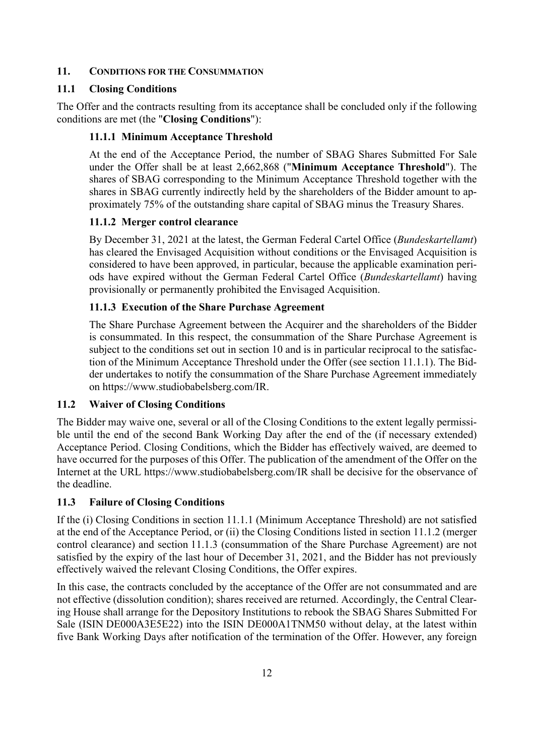### **11. CONDITIONS FOR THE CONSUMMATION**

### **11.1 Closing Conditions**

The Offer and the contracts resulting from its acceptance shall be concluded only if the following conditions are met (the "**Closing Conditions**"):

#### **11.1.1 Minimum Acceptance Threshold**

At the end of the Acceptance Period, the number of SBAG Shares Submitted For Sale under the Offer shall be at least 2,662,868 ("**Minimum Acceptance Threshold**"). The shares of SBAG corresponding to the Minimum Acceptance Threshold together with the shares in SBAG currently indirectly held by the shareholders of the Bidder amount to approximately 75% of the outstanding share capital of SBAG minus the Treasury Shares.

#### **11.1.2 Merger control clearance**

By December 31, 2021 at the latest, the German Federal Cartel Office (*Bundeskartellamt*) has cleared the Envisaged Acquisition without conditions or the Envisaged Acquisition is considered to have been approved, in particular, because the applicable examination periods have expired without the German Federal Cartel Office (*Bundeskartellamt*) having provisionally or permanently prohibited the Envisaged Acquisition.

#### **11.1.3 Execution of the Share Purchase Agreement**

The Share Purchase Agreement between the Acquirer and the shareholders of the Bidder is consummated. In this respect, the consummation of the Share Purchase Agreement is subject to the conditions set out in section 10 and is in particular reciprocal to the satisfaction of the Minimum Acceptance Threshold under the Offer (see section 11.1.1). The Bidder undertakes to notify the consummation of the Share Purchase Agreement immediately on https://www.studiobabelsberg.com/IR.

#### **11.2 Waiver of Closing Conditions**

The Bidder may waive one, several or all of the Closing Conditions to the extent legally permissible until the end of the second Bank Working Day after the end of the (if necessary extended) Acceptance Period. Closing Conditions, which the Bidder has effectively waived, are deemed to have occurred for the purposes of this Offer. The publication of the amendment of the Offer on the Internet at the URL https://www.studiobabelsberg.com/IR shall be decisive for the observance of the deadline.

#### **11.3 Failure of Closing Conditions**

If the (i) Closing Conditions in section 11.1.1 (Minimum Acceptance Threshold) are not satisfied at the end of the Acceptance Period, or (ii) the Closing Conditions listed in section 11.1.2 (merger control clearance) and section 11.1.3 (consummation of the Share Purchase Agreement) are not satisfied by the expiry of the last hour of December 31, 2021, and the Bidder has not previously effectively waived the relevant Closing Conditions, the Offer expires.

In this case, the contracts concluded by the acceptance of the Offer are not consummated and are not effective (dissolution condition); shares received are returned. Accordingly, the Central Clearing House shall arrange for the Depository Institutions to rebook the SBAG Shares Submitted For Sale (ISIN DE000A3E5E22) into the ISIN DE000A1TNM50 without delay, at the latest within five Bank Working Days after notification of the termination of the Offer. However, any foreign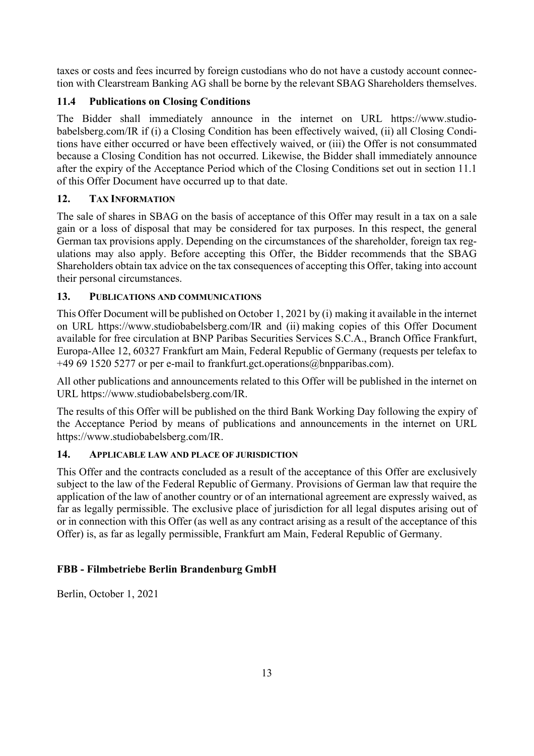taxes or costs and fees incurred by foreign custodians who do not have a custody account connection with Clearstream Banking AG shall be borne by the relevant SBAG Shareholders themselves.

# **11.4 Publications on Closing Conditions**

The Bidder shall immediately announce in the internet on URL https://www.studiobabelsberg.com/IR if (i) a Closing Condition has been effectively waived, (ii) all Closing Conditions have either occurred or have been effectively waived, or (iii) the Offer is not consummated because a Closing Condition has not occurred. Likewise, the Bidder shall immediately announce after the expiry of the Acceptance Period which of the Closing Conditions set out in section 11.1 of this Offer Document have occurred up to that date.

# **12. TAX INFORMATION**

The sale of shares in SBAG on the basis of acceptance of this Offer may result in a tax on a sale gain or a loss of disposal that may be considered for tax purposes. In this respect, the general German tax provisions apply. Depending on the circumstances of the shareholder, foreign tax regulations may also apply. Before accepting this Offer, the Bidder recommends that the SBAG Shareholders obtain tax advice on the tax consequences of accepting this Offer, taking into account their personal circumstances.

# **13. PUBLICATIONS AND COMMUNICATIONS**

This Offer Document will be published on October 1, 2021 by (i) making it available in the internet on URL https://www.studiobabelsberg.com/IR and (ii) making copies of this Offer Document available for free circulation at BNP Paribas Securities Services S.C.A., Branch Office Frankfurt, Europa-Allee 12, 60327 Frankfurt am Main, Federal Republic of Germany (requests per telefax to +49 69 1520 5277 or per e-mail to frankfurt.gct.operations@bnpparibas.com).

All other publications and announcements related to this Offer will be published in the internet on URL https://www.studiobabelsberg.com/IR.

The results of this Offer will be published on the third Bank Working Day following the expiry of the Acceptance Period by means of publications and announcements in the internet on URL https://www.studiobabelsberg.com/IR.

# **14. APPLICABLE LAW AND PLACE OF JURISDICTION**

This Offer and the contracts concluded as a result of the acceptance of this Offer are exclusively subject to the law of the Federal Republic of Germany. Provisions of German law that require the application of the law of another country or of an international agreement are expressly waived, as far as legally permissible. The exclusive place of jurisdiction for all legal disputes arising out of or in connection with this Offer (as well as any contract arising as a result of the acceptance of this Offer) is, as far as legally permissible, Frankfurt am Main, Federal Republic of Germany.

# **FBB - Filmbetriebe Berlin Brandenburg GmbH**

Berlin, October 1, 2021